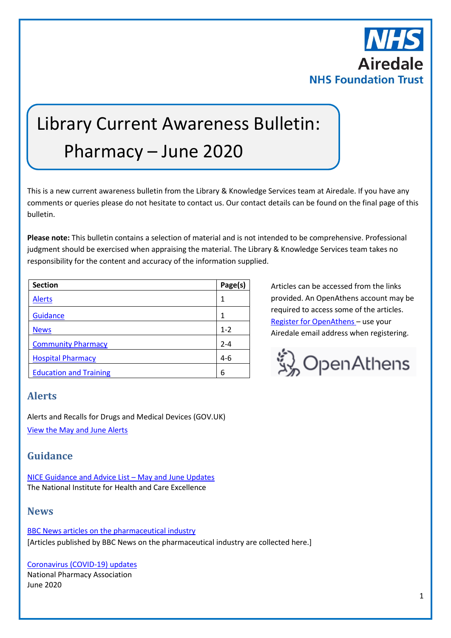

# Library Current Awareness Bulletin: Pharmacy – June 2020

This is a new current awareness bulletin from the Library & Knowledge Services team at Airedale. If you have any comments or queries please do not hesitate to contact us. Our contact details can be found on the final page of this bulletin.

**Please note:** This bulletin contains a selection of material and is not intended to be comprehensive. Professional judgment should be exercised when appraising the material. The Library & Knowledge Services team takes no responsibility for the content and accuracy of the information supplied.

| <b>Section</b>                | Page(s) |
|-------------------------------|---------|
| <b>Alerts</b>                 | 1       |
| Guidance                      | 1       |
| <b>News</b>                   | $1 - 2$ |
| <b>Community Pharmacy</b>     | $2 - 4$ |
| <b>Hospital Pharmacy</b>      | $4-6$   |
| <b>Education and Training</b> | 6       |

Articles can be accessed from the links provided. An OpenAthens account may be required to access some of the articles. [Register for OpenAthens](https://openathens.nice.org.uk/) – use your Airedale email address when registering.



# <span id="page-0-0"></span>**Alerts**

Alerts and Recalls for Drugs and Medical Devices (GOV.UK) [View the May and June Alerts](https://www.gov.uk/drug-device-alerts?issued_date%5Bfrom%5D=30%2F04%2F2020)

# <span id="page-0-1"></span>**Guidance**

[NICE Guidance and Advice List](https://www.nice.org.uk/guidance/published?fromdate=May%202020&todate=June%202020) – May and June Updates The National Institute for Health and Care Excellence

# <span id="page-0-2"></span>**News**

[BBC News articles on the pharmaceutical industry](https://www.bbc.co.uk/news/topics/cg1lkvgedv8t/pharmaceutical-industry) [Articles published by BBC News on the pharmaceutical industry are collected here.]

[Coronavirus \(COVID-19\) updates](https://www.npa.co.uk/coronavirus-updates/) National Pharmacy Association June 2020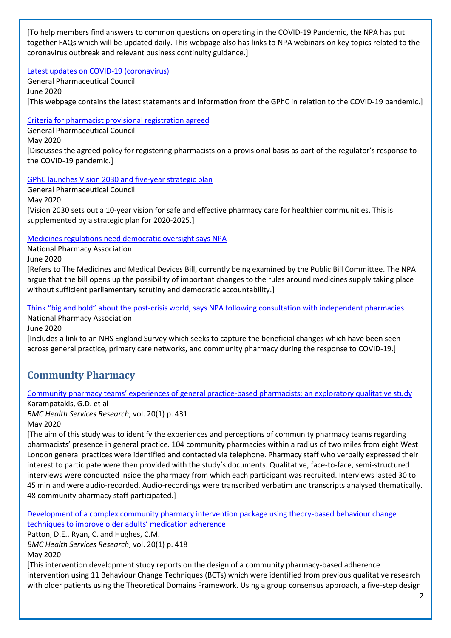[To help members find answers to common questions on operating in the COVID-19 Pandemic, the NPA has put together FAQs which will be updated daily. This webpage also has links to NPA webinars on key topics related to the coronavirus outbreak and relevant business continuity guidance.]

#### [Latest updates on COVID-19 \(coronavirus\)](https://www.pharmacyregulation.org/contact-us/coronavirus-latest-updates)

General Pharmaceutical Council June 2020 [This webpage contains the latest statements and information from the GPhC in relation to the COVID-19 pandemic.]

#### [Criteria for pharmacist provisional registration agreed](https://www.pharmacyregulation.org/news/criteria-pharmacist-provisional-registration-agreed)

General Pharmaceutical Council

May 2020

[Discusses the agreed policy for registering pharmacists on a provisional basis as part of the regulator's response to the COVID-19 pandemic.]

[GPhC launches Vision 2030 and five-year strategic plan](https://www.pharmacyregulation.org/news/gphc-launches-vision-2030-and-five-year-strategic-plan)

General Pharmaceutical Council May 2020 [Vision 2030 sets out a 10-year vision for safe and effective pharmacy care for healthier communities. This is supplemented by a strategic plan for 2020-2025.]

## [Medicines regulations need democratic oversight says NPA](https://www.npa.co.uk/news-and-events/news-item/medicines-regulations-need-democratic-oversight-says-npa/)

National Pharmacy Association June 2020

[Refers to The Medicines and Medical Devices Bill, currently being examined by the Public Bill Committee. The NPA argue that the bill opens up the possibility of important changes to the rules around medicines supply taking place without sufficient parliamentary scrutiny and democratic accountability.]

Think "big and bold" about the post[-crisis world, says NPA following consultation with independent pharmacies](https://www.npa.co.uk/news-and-events/news-item/think-big-and-bold-about-the-post-crisis-world-says-npa-following-consultation-with-independent-pharmacies/) National Pharmacy Association

June 2020

[Includes a link to an NHS England Survey which seeks to capture the beneficial changes which have been seen across general practice, primary care networks, and community pharmacy during the response to COVID-19.]

# <span id="page-1-0"></span>**Community Pharmacy**

# [Community pharmacy teams' experiences of general practice](https://bmchealthservres.biomedcentral.com/articles/10.1186/s12913-020-05245-y)-based pharmacists: an exploratory qualitative study

Karampatakis, G.D. et al

*BMC Health Services Research*, vol. 20(1) p. 431 May 2020

[The aim of this study was to identify the experiences and perceptions of community pharmacy teams regarding pharmacists' presence in general practice. 104 community pharmacies within a radius of two miles from eight West London general practices were identified and contacted via telephone. Pharmacy staff who verbally expressed their interest to participate were then provided with the study's documents. Qualitative, face-to-face, semi-structured interviews were conducted inside the pharmacy from which each participant was recruited. Interviews lasted 30 to 45 min and were audio-recorded. Audio-recordings were transcribed verbatim and transcripts analysed thematically. 48 community pharmacy staff participated.]

[Development of a complex community pharmacy intervention package using theory-based behaviour change](https://bmchealthservres.biomedcentral.com/articles/10.1186/s12913-020-05282-7)  [techniques to improve older adults' medication adherence](https://bmchealthservres.biomedcentral.com/articles/10.1186/s12913-020-05282-7)

Patton, D.E., Ryan, C. and Hughes, C.M.

*BMC Health Services Research*, vol. 20(1) p. 418

May 2020

[This intervention development study reports on the design of a community pharmacy-based adherence intervention using 11 Behaviour Change Techniques (BCTs) which were identified from previous qualitative research with older patients using the Theoretical Domains Framework. Using a group consensus approach, a five-step design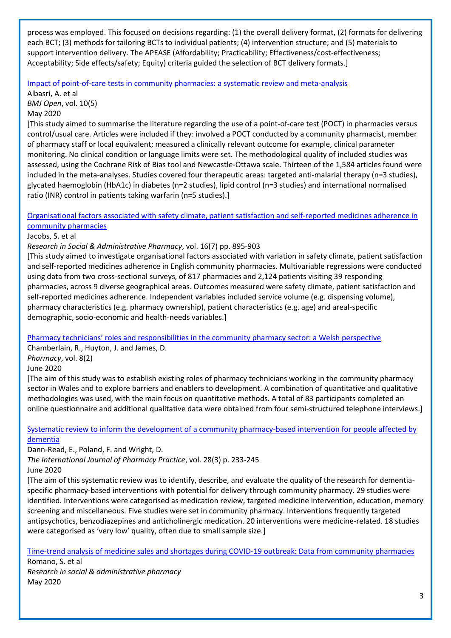process was employed. This focused on decisions regarding: (1) the overall delivery format, (2) formats for delivering each BCT; (3) methods for tailoring BCTs to individual patients; (4) intervention structure; and (5) materials to support intervention delivery. The APEASE (Affordability; Practicability; Effectiveness/cost-effectiveness; Acceptability; Side effects/safety; Equity) criteria guided the selection of BCT delivery formats.]

[Impact of point-of-care tests in community pharmacies: a systematic review and meta-analysis](http://europepmc.org/article/MED/32414821?singleResult=true)

Albasri, A. et al *BMJ Open*, vol. 10(5) May 2020

[This study aimed to summarise the literature regarding the use of a point-of-care test (POCT) in pharmacies versus control/usual care. Articles were included if they: involved a POCT conducted by a community pharmacist, member of pharmacy staff or local equivalent; measured a clinically relevant outcome for example, clinical parameter monitoring. No clinical condition or language limits were set. The methodological quality of included studies was assessed, using the Cochrane Risk of Bias tool and Newcastle-Ottawa scale. Thirteen of the 1,584 articles found were included in the meta-analyses. Studies covered four therapeutic areas: targeted anti-malarial therapy (n=3 studies), glycated haemoglobin (HbA1c) in diabetes (n=2 studies), lipid control (n=3 studies) and international normalised ratio (INR) control in patients taking warfarin (n=5 studies).]

[Organisational factors associated with safety climate, patient satisfaction and self-reported medicines adherence in](https://www.sciencedirect.com/science/article/pii/S1551741119300270?via%3Dihub)  [community pharmacies](https://www.sciencedirect.com/science/article/pii/S1551741119300270?via%3Dihub)

#### Jacobs, S. et al

*Research in Social & Administrative Pharmacy*, vol. 16(7) pp. 895-903

[This study aimed to investigate organisational factors associated with variation in safety climate, patient satisfaction and self-reported medicines adherence in English community pharmacies. Multivariable regressions were conducted using data from two cross-sectional surveys, of 817 pharmacies and 2,124 patients visiting 39 responding pharmacies, across 9 diverse geographical areas. Outcomes measured were safety climate, patient satisfaction and self-reported medicines adherence. Independent variables included service volume (e.g. dispensing volume), pharmacy characteristics (e.g. pharmacy ownership), patient characteristics (e.g. age) and areal-specific demographic, socio-economic and health-needs variables.]

[Pharmacy technicians' roles and responsibilities in the community pharmacy sector: a Welsh perspective](https://www.mdpi.com/2226-4787/8/2/97)

Chamberlain, R., Huyton, J. and James, D.

*Pharmacy*, vol. 8(2)

June 2020

[The aim of this study was to establish existing roles of pharmacy technicians working in the community pharmacy sector in Wales and to explore barriers and enablers to development. A combination of quantitative and qualitative methodologies was used, with the main focus on quantitative methods. A total of 83 participants completed an online questionnaire and additional qualitative data were obtained from four semi-structured telephone interviews.]

[Systematic review to inform the development of a community pharmacy-based intervention for people affected by](https://onlinelibrary.wiley.com/doi/pdfdirect/10.1111/ijpp.12586)  [dementia](https://onlinelibrary.wiley.com/doi/pdfdirect/10.1111/ijpp.12586)

Dann-Read, E., Poland, F. and Wright, D.

*The International Journal of Pharmacy Practice*, vol. 28(3) p. 233-245 June 2020

[The aim of this systematic review was to identify, describe, and evaluate the quality of the research for dementiaspecific pharmacy-based interventions with potential for delivery through community pharmacy. 29 studies were identified. Interventions were categorised as medication review, targeted medicine intervention, education, memory screening and miscellaneous. Five studies were set in community pharmacy. Interventions frequently targeted antipsychotics, benzodiazepines and anticholinergic medication. 20 interventions were medicine-related. 18 studies were categorised as 'very low' quality, often due to small sample size.]

[Time-trend analysis of medicine sales and shortages during COVID-19 outbreak: Data from community pharmacies](https://www.ncbi.nlm.nih.gov/pmc/articles/PMC7245321/)

Romano, S. et al *Research in social & administrative pharmacy* May 2020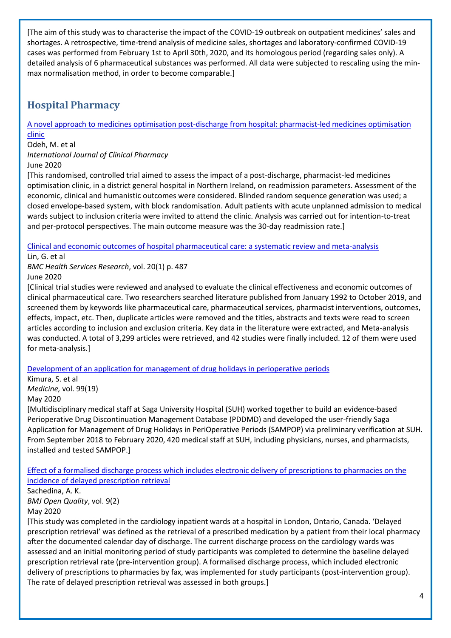[The aim of this study was to characterise the impact of the COVID-19 outbreak on outpatient medicines' sales and shortages. A retrospective, time-trend analysis of medicine sales, shortages and laboratory-confirmed COVID-19 cases was performed from February 1st to April 30th, 2020, and its homologous period (regarding sales only). A detailed analysis of 6 pharmaceutical substances was performed. All data were subjected to rescaling using the minmax normalisation method, in order to become comparable.]

# <span id="page-3-0"></span>**Hospital Pharmacy**

[A novel approach to medicines optimisation post-discharge from](https://link.springer.com/content/pdf/10.1007/s11096-020-01059-4.pdf) hospital: pharmacist-led medicines optimisation [clinic](https://link.springer.com/content/pdf/10.1007/s11096-020-01059-4.pdf)

Odeh, M. et al

*International Journal of Clinical Pharmacy*

June 2020

[This randomised, controlled trial aimed to assess the impact of a post-discharge, pharmacist-led medicines optimisation clinic, in a district general hospital in Northern Ireland, on readmission parameters. Assessment of the economic, clinical and humanistic outcomes were considered. Blinded random sequence generation was used; a closed envelope-based system, with block randomisation. Adult patients with acute unplanned admission to medical wards subject to inclusion criteria were invited to attend the clinic. Analysis was carried out for intention-to-treat and per-protocol perspectives. The main outcome measure was the 30-day readmission rate.]

[Clinical and economic outcomes of hospital pharmaceutical care: a systematic review and meta-analysis](https://bmchealthservres.biomedcentral.com/articles/10.1186/s12913-020-05346-8)

Lin, G. et al

*BMC Health Services Research*, vol. 20(1) p. 487

June 2020

[Clinical trial studies were reviewed and analysed to evaluate the clinical effectiveness and economic outcomes of clinical pharmaceutical care. Two researchers searched literature published from January 1992 to October 2019, and screened them by keywords like pharmaceutical care, pharmaceutical services, pharmacist interventions, outcomes, effects, impact, etc. Then, duplicate articles were removed and the titles, abstracts and texts were read to screen articles according to inclusion and exclusion criteria. Key data in the literature were extracted, and Meta-analysis was conducted. A total of 3,299 articles were retrieved, and 42 studies were finally included. 12 of them were used for meta-analysis.]

[Development of an application for management of drug holidays in perioperative periods](http://europepmc.org/article/MED/32384497?singleResult=true)

Kimura, S. et al *Medicine,* vol. 99(19)

#### May 2020

[Multidisciplinary medical staff at Saga University Hospital (SUH) worked together to build an evidence-based Perioperative Drug Discontinuation Management Database (PDDMD) and developed the user-friendly Saga Application for Management of Drug Holidays in PeriOperative Periods (SAMPOP) via preliminary verification at SUH. From September 2018 to February 2020, 420 medical staff at SUH, including physicians, nurses, and pharmacists, installed and tested SAMPOP.]

[Effect of a formalised discharge process which includes electronic delivery of prescriptions to pharmacies on the](https://bmjopenquality.bmj.com/content/bmjqir/9/2/e000849.full.pdf)  [incidence of delayed prescription retrieval](https://bmjopenquality.bmj.com/content/bmjqir/9/2/e000849.full.pdf)

Sachedina, A. K. *BMJ Open Quality*, vol. 9(2) May 2020

[This study was completed in the cardiology inpatient wards at a hospital in London, Ontario, Canada. 'Delayed prescription retrieval' was defined as the retrieval of a prescribed medication by a patient from their local pharmacy after the documented calendar day of discharge. The current discharge process on the cardiology wards was assessed and an initial monitoring period of study participants was completed to determine the baseline delayed prescription retrieval rate (pre-intervention group). A formalised discharge process, which included electronic delivery of prescriptions to pharmacies by fax, was implemented for study participants (post-intervention group). The rate of delayed prescription retrieval was assessed in both groups.]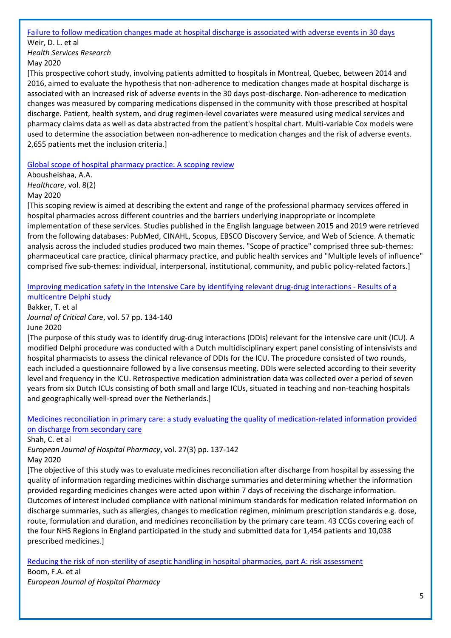[Failure to follow medication changes made at hospital discharge is associated with adverse events in 30 days](https://onlinelibrary.wiley.com/doi/pdfdirect/10.1111/1475-6773.13292)

Weir, D. L. et al *Health Services Research* May 2020

[This prospective cohort study, involving patients admitted to hospitals in Montreal, Quebec, between 2014 and 2016, aimed to evaluate the hypothesis that non-adherence to medication changes made at hospital discharge is associated with an increased risk of adverse events in the 30 days post-discharge. Non-adherence to medication changes was measured by comparing medications dispensed in the community with those prescribed at hospital discharge. Patient, health system, and drug regimen-level covariates were measured using medical services and pharmacy claims data as well as data abstracted from the patient's hospital chart. Multi-variable Cox models were used to determine the association between non-adherence to medication changes and the risk of adverse events. 2,655 patients met the inclusion criteria.]

[Global scope of hospital pharmacy practice: A scoping review](http://europepmc.org/article/MED/32466229?singleResult=true)

Abousheishaa, A.A. *Healthcare*, vol. 8(2) May 2020

[This scoping review is aimed at describing the extent and range of the professional pharmacy services offered in hospital pharmacies across different countries and the barriers underlying inappropriate or incomplete implementation of these services. Studies published in the English language between 2015 and 2019 were retrieved from the following databases: PubMed, CINAHL, Scopus, EBSCO Discovery Service, and Web of Science. A thematic analysis across the included studies produced two main themes. "Scope of practice" comprised three sub-themes: pharmaceutical care practice, clinical pharmacy practice, and public health services and "Multiple levels of influence" comprised five sub-themes: individual, interpersonal, institutional, community, and public policy-related factors.]

## [Improving medication safety in the Intensive Care by identifying relevant drug-drug interactions -](https://www.sciencedirect.com/science/article/pii/S0883944119315060?via%3Dihub) Results of a [multicentre Delphi study](https://www.sciencedirect.com/science/article/pii/S0883944119315060?via%3Dihub)

Bakker, T. et al *Journal of Critical Care*, vol. 57 pp. 134-140 June 2020

[The purpose of this study was to identify drug-drug interactions (DDIs) relevant for the intensive care unit (ICU). A modified Delphi procedure was conducted with a Dutch multidisciplinary expert panel consisting of intensivists and hospital pharmacists to assess the clinical relevance of DDIs for the ICU. The procedure consisted of two rounds, each included a questionnaire followed by a live consensus meeting. DDIs were selected according to their severity level and frequency in the ICU. Retrospective medication administration data was collected over a period of seven years from six Dutch ICUs consisting of both small and large ICUs, situated in teaching and non-teaching hospitals and geographically well-spread over the Netherlands.]

[Medicines reconciliation in primary care: a study evaluating the quality of medication-related information provided](https://discovery.ucl.ac.uk/id/eprint/10058418/1/Jani_Medicines%20reconciliation%20in%20primary%20care.%20A%20study%20evaluating%20the%20quality%20of%20medication-related%20information%20provided%20on%20discharge%20from%20secondary%20care_AAM.pdf)  [on discharge from secondary care](https://discovery.ucl.ac.uk/id/eprint/10058418/1/Jani_Medicines%20reconciliation%20in%20primary%20care.%20A%20study%20evaluating%20the%20quality%20of%20medication-related%20information%20provided%20on%20discharge%20from%20secondary%20care_AAM.pdf)

Shah, C. et al

*European Journal of Hospital Pharmacy*, vol. 27(3) pp. 137-142 May 2020

[The objective of this study was to evaluate medicines reconciliation after discharge from hospital by assessing the quality of information regarding medicines within discharge summaries and determining whether the information provided regarding medicines changes were acted upon within 7 days of receiving the discharge information. Outcomes of interest included compliance with national minimum standards for medication related information on discharge summaries, such as allergies, changes to medication regimen, minimum prescription standards e.g. dose, route, formulation and duration, and medicines reconciliation by the primary care team. 43 CCGs covering each of the four NHS Regions in England participated in the study and submitted data for 1,454 patients and 10,038 prescribed medicines.]

[Reducing the risk of non-sterility of aseptic handling in hospital pharmacies, part A: risk assessment](https://ejhp.bmj.com/content/ejhpharm/early/2020/05/08/ejhpharm-2019-002178.full.pdf)

Boom, F.A. et al *European Journal of Hospital Pharmacy*